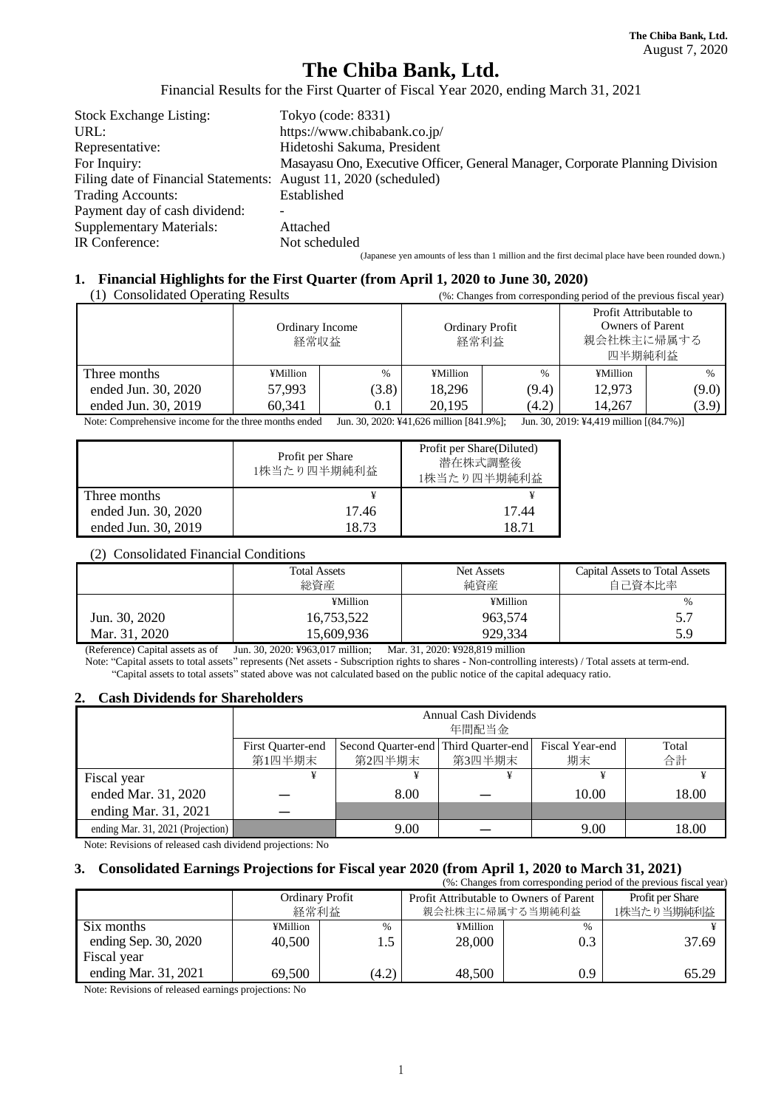# **The Chiba Bank, Ltd.**

Financial Results for the First Quarter of Fiscal Year 2020, ending March 31, 2021

| <b>Stock Exchange Listing:</b>                                   | Tokyo (code: 8331)                                                                                |
|------------------------------------------------------------------|---------------------------------------------------------------------------------------------------|
| URL:                                                             | https://www.chibabank.co.jp/                                                                      |
| Representative:                                                  | Hidetoshi Sakuma, President                                                                       |
| For Inquiry:                                                     | Masayasu Ono, Executive Officer, General Manager, Corporate Planning Division                     |
| Filing date of Financial Statements: August 11, 2020 (scheduled) |                                                                                                   |
| <b>Trading Accounts:</b>                                         | Established                                                                                       |
| Payment day of cash dividend:                                    |                                                                                                   |
| <b>Supplementary Materials:</b>                                  | Attached                                                                                          |
| IR Conference:                                                   | Not scheduled                                                                                     |
|                                                                  | (Japanese yen amounts of less than 1 million and the first decimal place have been rounded down.) |

# **1. Financial Highlights for the First Quarter (from April 1, 2020 to June 30, 2020)**

| (1) Consolidated Operating Results | (%: Changes from corresponding period of the previous fiscal year) |       |                                |       |                                                                           |               |  |
|------------------------------------|--------------------------------------------------------------------|-------|--------------------------------|-------|---------------------------------------------------------------------------|---------------|--|
|                                    | Ordinary Income<br>経常収益                                            |       | <b>Ordinary Profit</b><br>経常利益 |       | Profit Attributable to<br><b>Owners of Parent</b><br>親会社株主に帰属する<br>四半期純利益 |               |  |
| Three months                       | ¥Million                                                           | $\%$  | ¥Million                       | $\%$  | ¥Million                                                                  | $\frac{0}{0}$ |  |
| ended Jun. 30, 2020                | 57.993                                                             | (3.8) | 18.296<br>(9.4)                |       | 12,973                                                                    | (9.0)         |  |
| ended Jun. 30, 2019                | 60,341                                                             | 0.1   | 20,195                         | (4.2) | 14,267                                                                    | (3.9)         |  |

Note: Comprehensive income for the three months ended Jun. 30, 2020: ¥41,626 million [841.9%]; Jun. 30, 2019: ¥4,419 million [(84.7%)]

|                     | Profit per Share<br>1株当たり四半期純利益 | Profit per Share(Diluted)<br>潜在株式調整後<br>1株当たり四半期純利益 |
|---------------------|---------------------------------|-----------------------------------------------------|
| Three months        |                                 |                                                     |
| ended Jun. 30, 2020 | 17.46                           | 17.44                                               |
| ended Jun. 30, 2019 | 18.73                           | 18 71                                               |

#### (2) Consolidated Financial Conditions

|               | <b>Total Assets</b><br>総資産 | Net Assets<br>純資産 | <b>Capital Assets to Total Assets</b><br>自己資本比率 |
|---------------|----------------------------|-------------------|-------------------------------------------------|
|               | ¥Million                   | ¥Million          | $\%$                                            |
| Jun. 30, 2020 | 16,753,522                 | 963,574           | 5.7                                             |
| Mar. 31, 2020 | 15.609.936                 | 929.334           | 5.9                                             |

(Reference) Capital assets as of Jun. 30, 2020: ¥963,017 million; Mar. 31, 2020: ¥928,819 million

Note: "Capital assets to total assets" represents (Net assets - Subscription rights to shares - Non-controlling interests) / Total assets at term-end. "Capital assets to total assets" stated above was not calculated based on the public notice of the capital adequacy ratio.

#### **2. Cash Dividends for Shareholders**

|                                   | Annual Cash Dividends<br>年間配当金                                                                                                  |      |  |       |       |  |  |  |  |  |
|-----------------------------------|---------------------------------------------------------------------------------------------------------------------------------|------|--|-------|-------|--|--|--|--|--|
|                                   | Fiscal Year-end<br>Second Quarter-end Third Quarter-end<br>First Ouarter-end<br>Total<br>合計<br>第3四半期末<br>第1四半期末<br>第2四半期末<br>期末 |      |  |       |       |  |  |  |  |  |
| Fiscal year                       | ¥                                                                                                                               | ¥    |  |       |       |  |  |  |  |  |
| ended Mar. 31, 2020               |                                                                                                                                 | 8.00 |  | 10.00 | 18.00 |  |  |  |  |  |
| ending Mar. 31, 2021              |                                                                                                                                 |      |  |       |       |  |  |  |  |  |
| ending Mar. 31, 2021 (Projection) |                                                                                                                                 | 9.00 |  | 9.00  | 18.00 |  |  |  |  |  |

Note: Revisions of released cash dividend projections: No

#### **3. Consolidated Earnings Projections for Fiscal year 2020 (from April 1, 2020 to March 31, 2021)** responding period of the previous fiscal year)

| $\sqrt{2}$ . Changes from corresponding period of the previous fiscal year) |                                |               |                                                            |                                |       |  |  |  |
|-----------------------------------------------------------------------------|--------------------------------|---------------|------------------------------------------------------------|--------------------------------|-------|--|--|--|
|                                                                             | <b>Ordinary Profit</b><br>経常利益 |               | Profit Attributable to Owners of Parent<br>親会社株主に帰属する当期純利益 | Profit per Share<br>1株当たり当期純利益 |       |  |  |  |
| Six months                                                                  | ¥Million                       | $\frac{0}{0}$ | ¥Million<br>$\frac{0}{0}$<br>0.3<br>28,000                 |                                |       |  |  |  |
| ending Sep. 30, 2020                                                        | 40,500                         |               |                                                            |                                | 37.69 |  |  |  |
| Fiscal year                                                                 |                                |               |                                                            |                                |       |  |  |  |
| ending Mar. 31, 2021                                                        | 69,500                         | (4.2)         | 48,500                                                     | 0.9                            | 65.29 |  |  |  |

Note: Revisions of released earnings projections: No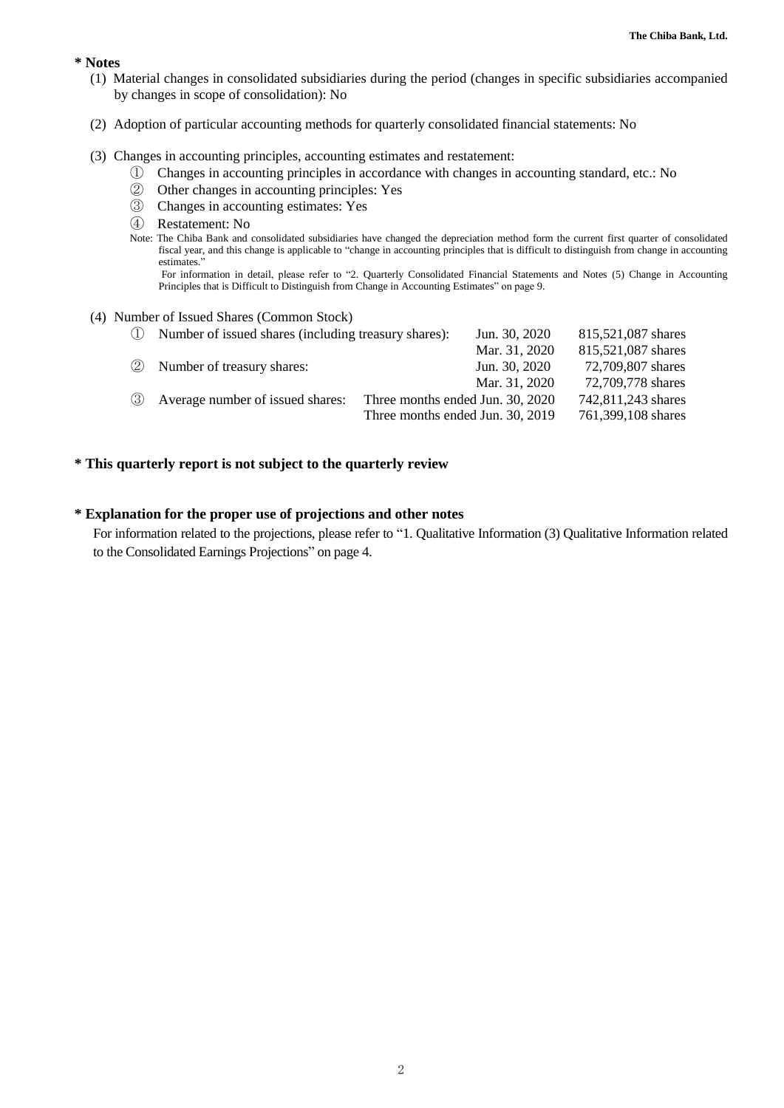#### **\* Notes**

- (1) Material changes in consolidated subsidiaries during the period (changes in specific subsidiaries accompanied by changes in scope of consolidation): No
- (2) Adoption of particular accounting methods for quarterly consolidated financial statements: No

#### (3) Changes in accounting principles, accounting estimates and restatement:

- ① Changes in accounting principles in accordance with changes in accounting standard, etc.: No
- ② Other changes in accounting principles: Yes
- ③ Changes in accounting estimates: Yes
- ④ Restatement: No
- Note: The Chiba Bank and consolidated subsidiaries have changed the depreciation method form the current first quarter of consolidated fiscal year, and this change is applicable to "change in accounting principles that is difficult to distinguish from change in accounting estimates."

 For information in detail, please refer to "2. Quarterly Consolidated Financial Statements and Notes (5) Change in Accounting Principles that is Difficult to Distinguish from Change in Accounting Estimates" on page 9.

#### (4) Number of Issued Shares (Common Stock)

| (1) | Number of issued shares (including treasury shares): | Jun. 30, 2020                    | 815,521,087 shares |
|-----|------------------------------------------------------|----------------------------------|--------------------|
|     |                                                      | Mar. 31, 2020                    | 815,521,087 shares |
| (2) | Number of treasury shares:                           | Jun. 30, 2020                    | 72,709,807 shares  |
|     |                                                      | Mar. 31, 2020                    | 72,709,778 shares  |
| (3) | Average number of issued shares:                     | Three months ended Jun. 30, 2020 | 742,811,243 shares |
|     |                                                      | Three months ended Jun. 30, 2019 | 761,399,108 shares |
|     |                                                      |                                  |                    |

## **\* This quarterly report is not subject to the quarterly review**

# **\* Explanation for the proper use of projections and other notes**

For information related to the projections, please refer to "1. Qualitative Information (3) Qualitative Information related to the Consolidated Earnings Projections" on page 4.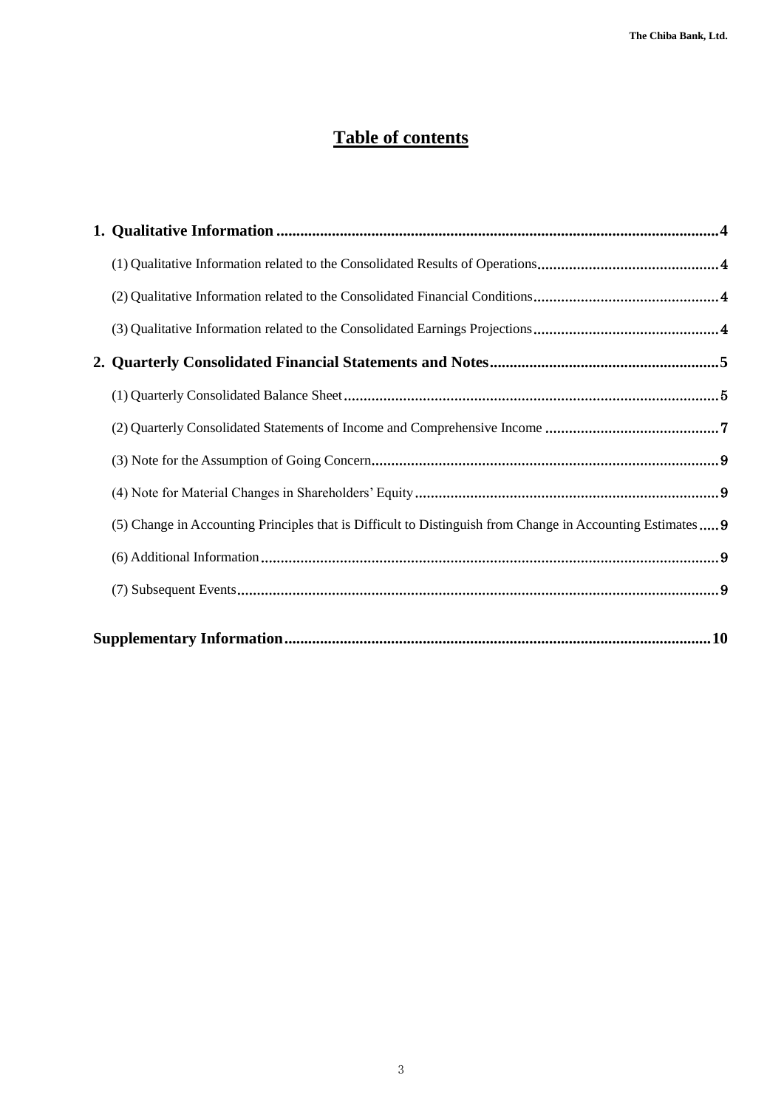# **Table of contents**

| (5) Change in Accounting Principles that is Difficult to Distinguish from Change in Accounting Estimates 9 |  |
|------------------------------------------------------------------------------------------------------------|--|
|                                                                                                            |  |
|                                                                                                            |  |
|                                                                                                            |  |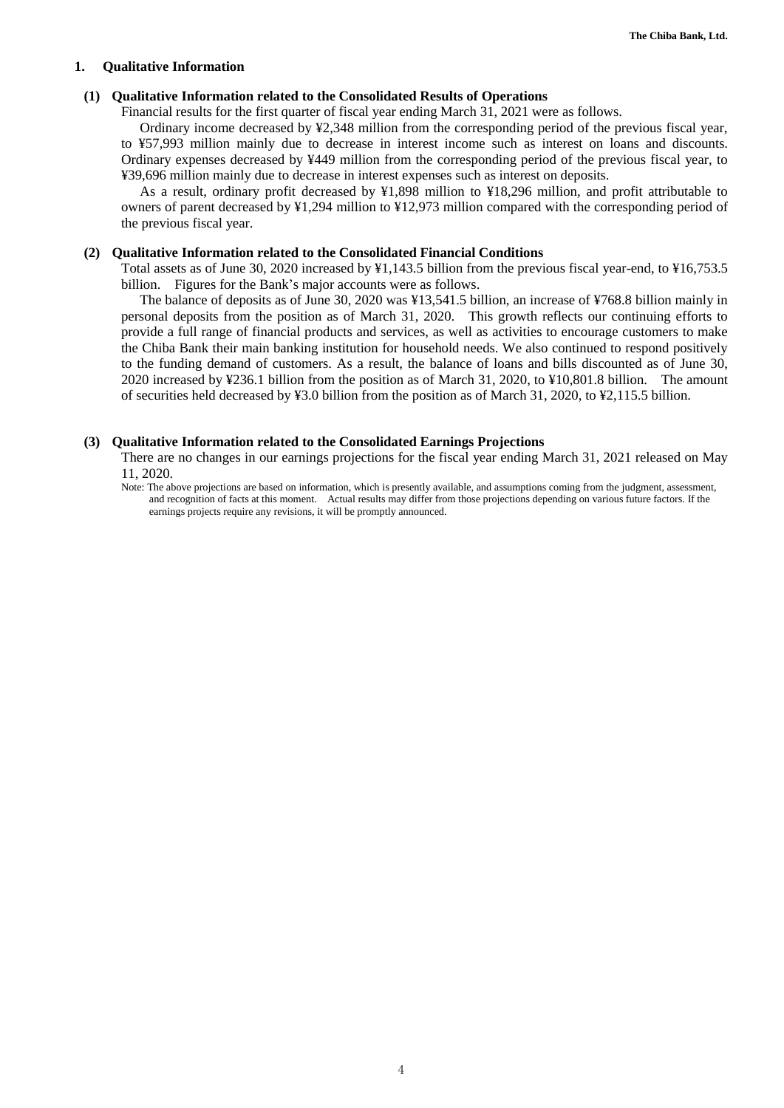#### <span id="page-3-0"></span>**1. Qualitative Information**

#### <span id="page-3-1"></span>**(1) Qualitative Information related to the Consolidated Results of Operations**

Financial results for the first quarter of fiscal year ending March 31, 2021 were as follows.

Ordinary income decreased by ¥2,348 million from the corresponding period of the previous fiscal year, to ¥57,993 million mainly due to decrease in interest income such as interest on loans and discounts. Ordinary expenses decreased by ¥449 million from the corresponding period of the previous fiscal year, to ¥39,696 million mainly due to decrease in interest expenses such as interest on deposits.

As a result, ordinary profit decreased by ¥1,898 million to ¥18,296 million, and profit attributable to owners of parent decreased by ¥1,294 million to ¥12,973 million compared with the corresponding period of the previous fiscal year.

#### <span id="page-3-2"></span>**(2) Qualitative Information related to the Consolidated Financial Conditions**

Total assets as of June 30, 2020 increased by ¥1,143.5 billion from the previous fiscal year-end, to ¥16,753.5 billion. Figures for the Bank's major accounts were as follows.

The balance of deposits as of June 30, 2020 was ¥13,541.5 billion, an increase of ¥768.8 billion mainly in personal deposits from the position as of March 31, 2020. This growth reflects our continuing efforts to provide a full range of financial products and services, as well as activities to encourage customers to make the Chiba Bank their main banking institution for household needs. We also continued to respond positively to the funding demand of customers. As a result, the balance of loans and bills discounted as of June 30, 2020 increased by ¥236.1 billion from the position as of March 31, 2020, to ¥10,801.8 billion. The amount of securities held decreased by ¥3.0 billion from the position as of March 31, 2020, to ¥2,115.5 billion.

#### <span id="page-3-3"></span>**(3) Qualitative Information related to the Consolidated Earnings Projections**

There are no changes in our earnings projections for the fiscal year ending March 31, 2021 released on May 11, 2020.

Note: The above projections are based on information, which is presently available, and assumptions coming from the judgment, assessment, and recognition of facts at this moment. Actual results may differ from those projections depending on various future factors. If the earnings projects require any revisions, it will be promptly announced.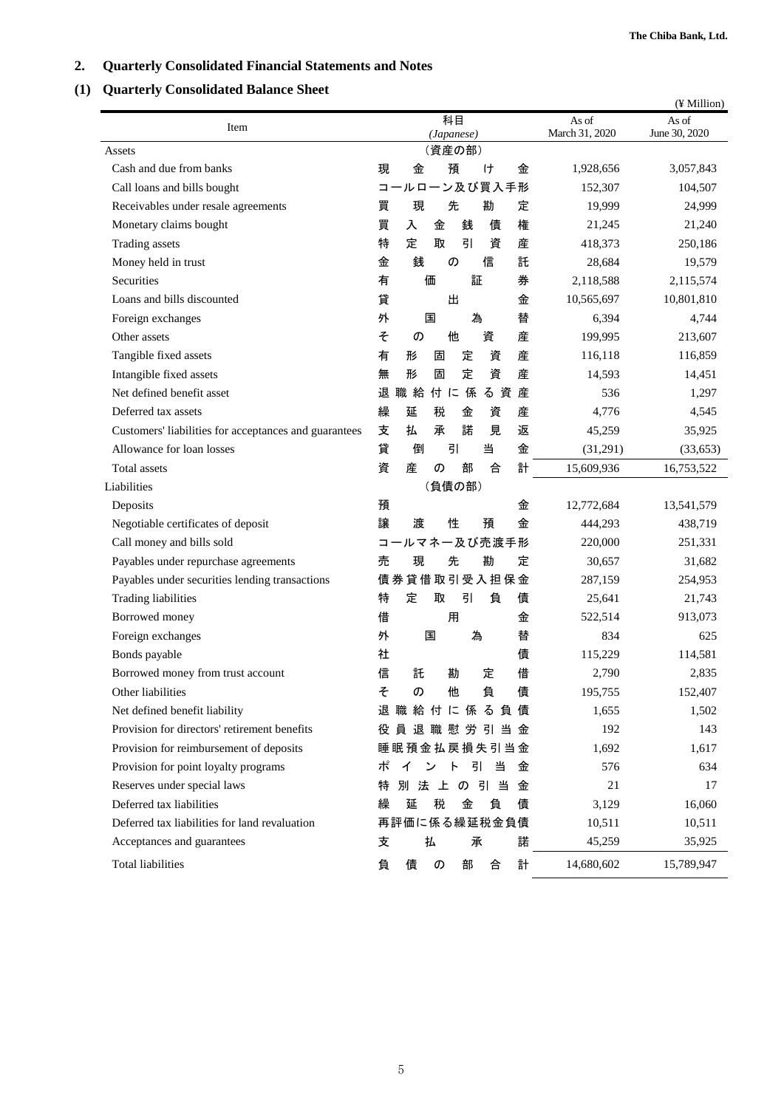# <span id="page-4-0"></span>**2. Quarterly Consolidated Financial Statements and Notes**

# <span id="page-4-1"></span>**(1) Quarterly Consolidated Balance Sheet**

|                                                       |                                                               |                | (¥ Million)   |
|-------------------------------------------------------|---------------------------------------------------------------|----------------|---------------|
| Item                                                  | 科目                                                            | As of          | As of         |
| Assets                                                | (Japanese)<br>(資産の部)                                          | March 31, 2020 | June 30, 2020 |
| Cash and due from banks                               | 現<br>金<br>預<br>ゖ<br>金                                         | 1,928,656      | 3,057,843     |
| Call loans and bills bought                           | コールローン及び買入手形                                                  | 152,307        | 104,507       |
| Receivables under resale agreements                   | 先<br>勘<br>買<br>現<br>定                                         | 19,999         | 24,999        |
| Monetary claims bought                                | 買<br>権<br>銭<br>入<br>金<br>債                                    | 21,245         | 21,240        |
| Trading assets                                        | 定<br>引<br>特<br>取<br>産<br>資                                    | 418,373        | 250,186       |
| Money held in trust                                   | 銭<br>託<br>金<br>信<br>の                                         | 28,684         | 19,579        |
| Securities                                            | 有<br>価<br>証<br>券                                              | 2,118,588      | 2,115,574     |
| Loans and bills discounted                            | 貸<br>出<br>金                                                   | 10,565,697     | 10,801,810    |
| Foreign exchanges                                     | 外<br>為<br>替<br>国                                              | 6,394          | 4,744         |
| Other assets                                          | そ<br>他<br>資<br>産<br>$\sigma$                                  | 199,995        | 213,607       |
| Tangible fixed assets                                 | 有<br>産<br>資<br>形<br>固<br>定                                    | 116,118        | 116,859       |
| Intangible fixed assets                               | 定<br>無<br>資<br>産<br>形<br>固                                    | 14,593         | 14,451        |
| Net defined benefit asset                             | 退<br>産<br>職 給<br>付に係<br>る資                                    | 536            | 1,297         |
| Deferred tax assets                                   | 繰<br>延<br>税<br>金<br>資<br>産                                    | 4,776          | 4,545         |
| Customers' liabilities for acceptances and guarantees | 支<br>諾<br>返<br>払<br>承<br>見                                    | 45,259         | 35,925        |
| Allowance for loan losses                             | 貸<br>引<br>当<br>金<br>倒                                         | (31,291)       | (33, 653)     |
| Total assets                                          | 資<br>計<br>産<br>部<br>の<br>合                                    | 15,609,936     | 16,753,522    |
| Liabilities                                           | (負債の部)                                                        |                |               |
| Deposits                                              | 金<br>預                                                        | 12,772,684     | 13,541,579    |
| Negotiable certificates of deposit                    | 譲<br>性<br>金<br>渡<br>預                                         | 444,293        | 438,719       |
| Call money and bills sold                             | コールマネー及び売渡手形                                                  | 220,000        | 251,331       |
| Payables under repurchase agreements                  | 勘<br>売<br>現<br>先<br>定                                         | 30,657         | 31,682        |
| Payables under securities lending transactions        | 債券貸借取引受入担保金                                                   | 287,159        | 254,953       |
| Trading liabilities                                   | 特<br>定<br>取<br>引<br>負<br>債                                    | 25,641         | 21,743        |
| Borrowed money                                        | 借<br>用<br>金                                                   | 522,514        | 913,073       |
| Foreign exchanges                                     | 外<br>為<br>替<br>国                                              | 834            | 625           |
| Bonds payable                                         | 債<br>社                                                        | 115,229        | 114,581       |
| Borrowed money from trust account                     | 借<br>信<br>託<br>勘<br>定                                         | 2,790          | 2,835         |
| Other liabilities                                     | そ<br>他<br>負<br>債<br>の                                         | 195,755        | 152,407       |
| Net defined benefit liability                         | 退職給付に係る負債                                                     | 1,655          | 1,502         |
| Provision for directors' retirement benefits          | 退職慰労引当金<br>役 員                                                | 192            | 143           |
| Provision for reimbursement of deposits               | 睡眠預金払戻損失引当金                                                   | 1,692          | 1,617         |
| Provision for point loyalty programs                  | ポ<br>イ<br>$\overline{\phantom{a}}$<br>引<br>当<br>$\vdash$<br>金 | 576            | 634           |
| Reserves under special laws                           | 別法上の引当<br>金<br>特                                              | 21             | 17            |
| Deferred tax liabilities                              | 税<br>金<br>繰<br>延<br>負<br>債                                    | 3,129          | 16,060        |
| Deferred tax liabilities for land revaluation         | 再評価に係る繰延税金負債                                                  | 10,511         | 10,511        |
| Acceptances and guarantees                            | 払<br>諾<br>支<br>承                                              | 45,259         | 35,925        |
| <b>Total liabilities</b>                              | 計<br>負<br>債<br>の<br>部<br>合                                    | 14,680,602     | 15,789,947    |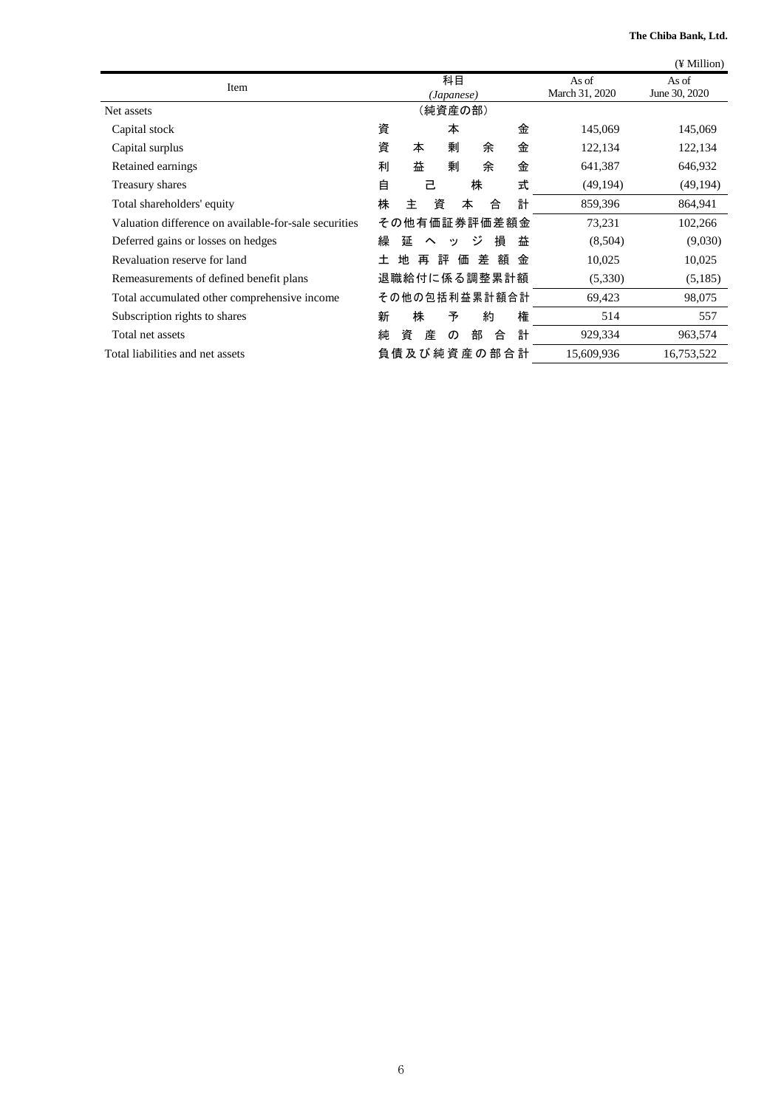**The Chiba Bank, Ltd.**

|                                                       |                                          |                         | (¥ Million)            |
|-------------------------------------------------------|------------------------------------------|-------------------------|------------------------|
| Item                                                  | 科目<br>(Japanese)                         | As of<br>March 31, 2020 | As of<br>June 30, 2020 |
| Net assets                                            | (純資産の部)                                  |                         |                        |
| Capital stock                                         | 資<br>金<br>本                              | 145,069                 | 145,069                |
| Capital surplus                                       | 資<br>剰<br>金<br>本<br>余                    | 122,134                 | 122,134                |
| Retained earnings                                     | 益<br>剰<br>金<br>利<br>余                    | 641,387                 | 646,932                |
| Treasury shares                                       | 自<br>株<br>式<br>己                         | (49, 194)               | (49, 194)              |
| Total shareholders' equity                            | 計<br>株<br>資<br>主<br>本<br>合               | 859,396                 | 864,941                |
| Valuation difference on available-for-sale securities | その他有価証券評価差額金                             | 73,231                  | 102,266                |
| Deferred gains or losses on hedges                    | 繰<br>延<br>ジ<br>損<br>益<br>$\sim$<br>ッ     | (8,504)                 | (9,030)                |
| Revaluation reserve for land                          | 評<br>価<br>差<br>額<br>地<br>再<br>金<br>$\pm$ | 10,025                  | 10,025                 |
| Remeasurements of defined benefit plans               | 退職給付に係る調整累計額                             | (5,330)                 | (5,185)                |
| Total accumulated other comprehensive income          | その他の包括利益累計額合計                            | 69,423                  | 98,075                 |
| Subscription rights to shares                         | 新<br>株<br>権<br>予<br>約                    | 514                     | 557                    |
| Total net assets                                      | 計<br>純<br>産<br>合<br>資<br>部<br>$\sigma$   | 929,334                 | 963,574                |
| Total liabilities and net assets                      | 負 債 及 び 純 資 産 の 部 合 計                    | 15,609,936              | 16,753,522             |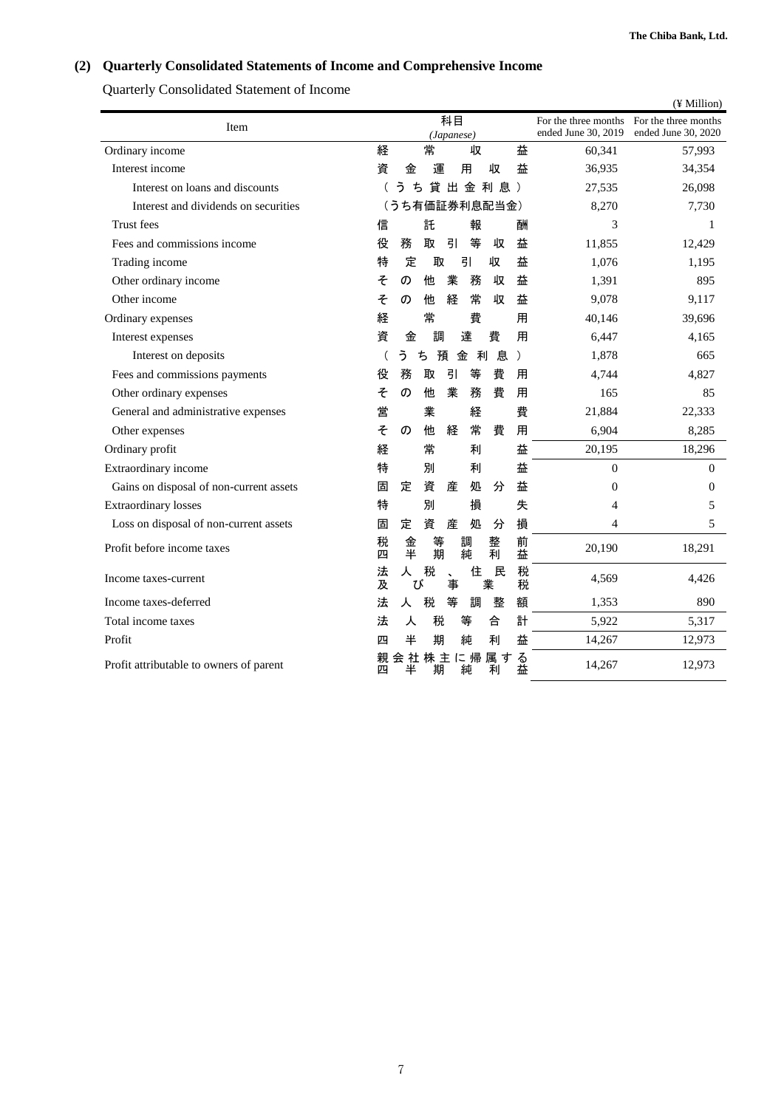# <span id="page-6-0"></span>**(2) Quarterly Consolidated Statements of Income and Comprehensive Income**

Quarterly Consolidated Statement of Income

|                                         |        |          |              |                      |        |   |               |           |                                             | (¥ Million)                                 |
|-----------------------------------------|--------|----------|--------------|----------------------|--------|---|---------------|-----------|---------------------------------------------|---------------------------------------------|
| Item                                    |        |          |              | 科目                   |        |   |               |           | For the three months<br>ended June 30, 2019 | For the three months<br>ended June 30, 2020 |
| Ordinary income                         | 経      |          | 常            | (Japanese)           |        | 収 |               | 益         | 60,341                                      | 57,993                                      |
| Interest income                         | 資      | 金        |              | 運                    | 用      |   | 収             | 益         | 36,935                                      | 34,354                                      |
| Interest on loans and discounts         |        | ぅ        | ち            |                      |        |   | 貸出金利息)        |           | 27,535                                      | 26,098                                      |
| Interest and dividends on securities    |        |          |              |                      |        |   | (うち有価証券利息配当金) |           | 8,270                                       | 7,730                                       |
| Trust fees                              | 信      |          | 託            |                      |        | 報 |               | 酬         | 3                                           | 1                                           |
| Fees and commissions income             | 役      | 務        | 取            |                      | 引      | 等 | 収             | 益         | 11,855                                      | 12,429                                      |
| Trading income                          | 特      | 定        |              | 取                    | 引      |   | 収             | 益         | 1,076                                       | 1,195                                       |
| Other ordinary income                   | そ      | の        | 他            |                      | 業      | 務 | 収             | 益         | 1,391                                       | 895                                         |
| Other income                            | そ      | の        | 他            |                      | 経      | 常 | 収             | 益         | 9,078                                       | 9,117                                       |
| Ordinary expenses                       | 経      |          | 常            |                      |        | 費 |               | 用         | 40,146                                      | 39,696                                      |
| Interest expenses                       | 資      | 金        |              | 調                    | 達      |   | 費             | 用         | 6,447                                       | 4,165                                       |
| Interest on deposits                    |        | う        | $\spadesuit$ | 預                    | 金      | 利 | 息             | $\lambda$ | 1,878                                       | 665                                         |
| Fees and commissions payments           | 役      | 務        | 取            | 引                    |        | 等 | 費             | 用         | 4,744                                       | 4,827                                       |
| Other ordinary expenses                 | そ      | の        | 他            |                      | 業      | 務 | 費             | 用         | 165                                         | 85                                          |
| General and administrative expenses     | 営      |          | 業            |                      |        | 経 |               | 費         | 21,884                                      | 22,333                                      |
| Other expenses                          | そ      | $\sigma$ | 他            |                      | 経      | 常 | 費             | 用         | 6,904                                       | 8,285                                       |
| Ordinary profit                         | 経      |          | 常            |                      |        | 利 |               | 益         | 20,195                                      | 18,296                                      |
| Extraordinary income                    | 特      |          | 別            |                      |        | 利 |               | 益         | $\mathbf{0}$                                | $\theta$                                    |
| Gains on disposal of non-current assets | 固      | 定        | 資            |                      | 産      | 処 | 分             | 益         | $\overline{0}$                              | $\mathbf{0}$                                |
| <b>Extraordinary losses</b>             | 特      |          | 別            |                      |        | 損 |               | 失         | 4                                           | 5                                           |
| Loss on disposal of non-current assets  | 固      | 定        | 資            | 産                    |        | 処 | 分             | 損         | $\overline{4}$                              | 5                                           |
| Profit before income taxes              | 税<br>四 | 金<br>平   |              | 等<br>期               | 調<br>純 |   | 整<br>利        | 前<br>益    | 20,190                                      | 18,291                                      |
| Income taxes-current                    | 法<br>及 | 人        | 税<br>ぴ       | $\ddot{\phantom{0}}$ | 事      | 住 | 民<br>業        | 税<br>税    | 4,569                                       | 4,426                                       |
| Income taxes-deferred                   | 法      | 人        | 税            | 等                    |        | 調 | 整             | 額         | 1,353                                       | 890                                         |
| Total income taxes                      | 法      | 人        |              | 税                    | 等      |   | 合             | 計         | 5,922                                       | 5,317                                       |
| Profit                                  | 匹      | 半        |              | 期                    | 純      |   | 利             | 益         | 14,267                                      | 12,973                                      |
| Profit attributable to owners of parent | 親<br>匹 | 会社<br>半  |              | 株主に帰<br>期            | 純      |   | 属す<br>利       | る<br>益    | 14,267                                      | 12,973                                      |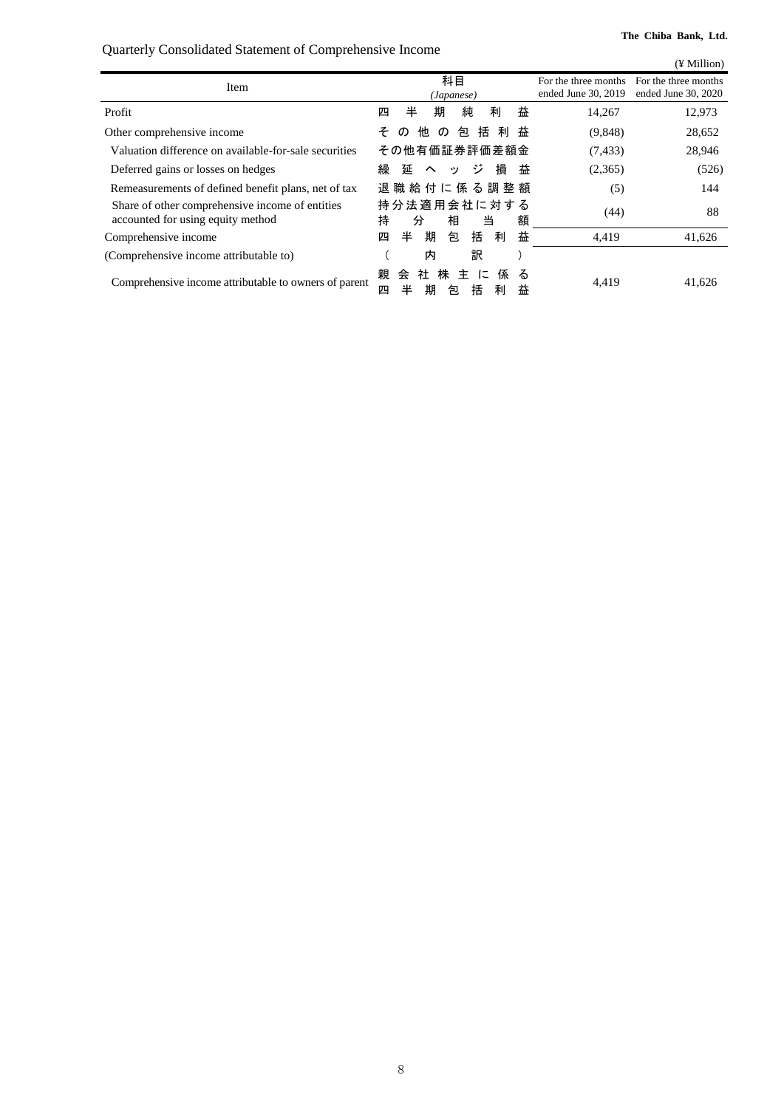Quarterly Consolidated Statement of Comprehensive Income

<span id="page-7-0"></span>

|                                                                                      |                                                                         |                                             | (¥ Million)                                 |
|--------------------------------------------------------------------------------------|-------------------------------------------------------------------------|---------------------------------------------|---------------------------------------------|
| Item                                                                                 | 科目<br>(Japanese)                                                        | For the three months<br>ended June 30, 2019 | For the three months<br>ended June 30, 2020 |
| Profit                                                                               | 純<br>益<br>半<br>期<br>利<br>四                                              | 14,267                                      | 12,973                                      |
| Other comprehensive income                                                           | 括<br>包<br>利<br>益<br>他<br>そ<br>$\sigma$<br>$\sigma$                      | (9,848)                                     | 28,652                                      |
| Valuation difference on available-for-sale securities                                | その他有価証券評価差額金                                                            | (7, 433)                                    | 28,946                                      |
| Deferred gains or losses on hedges                                                   | 繰<br>ジ<br>損<br>延<br>益<br>ッ<br>$\sim$                                    | (2,365)                                     | (526)                                       |
| Remeasurements of defined benefit plans, net of tax                                  | 退 職 給 付 に 係 る 調 整 額                                                     | (5)                                         | 144                                         |
| Share of other comprehensive income of entities<br>accounted for using equity method | 持分法適用会社に対する<br>額<br>持<br>相<br>当<br>分                                    | (44)                                        | 88                                          |
| Comprehensive income                                                                 | 益<br>括<br>半<br>期<br>包<br>利<br>四                                         | 4,419                                       | 41,626                                      |
| (Comprehensive income attributable to)                                               | 訳<br>内                                                                  |                                             |                                             |
| Comprehensive income attributable to owners of parent                                | 親<br>社<br>株<br>会<br>主<br>に<br>係<br>る<br>半<br>括<br>期<br>益<br>四<br>利<br>包 | 4,419                                       | 41,626                                      |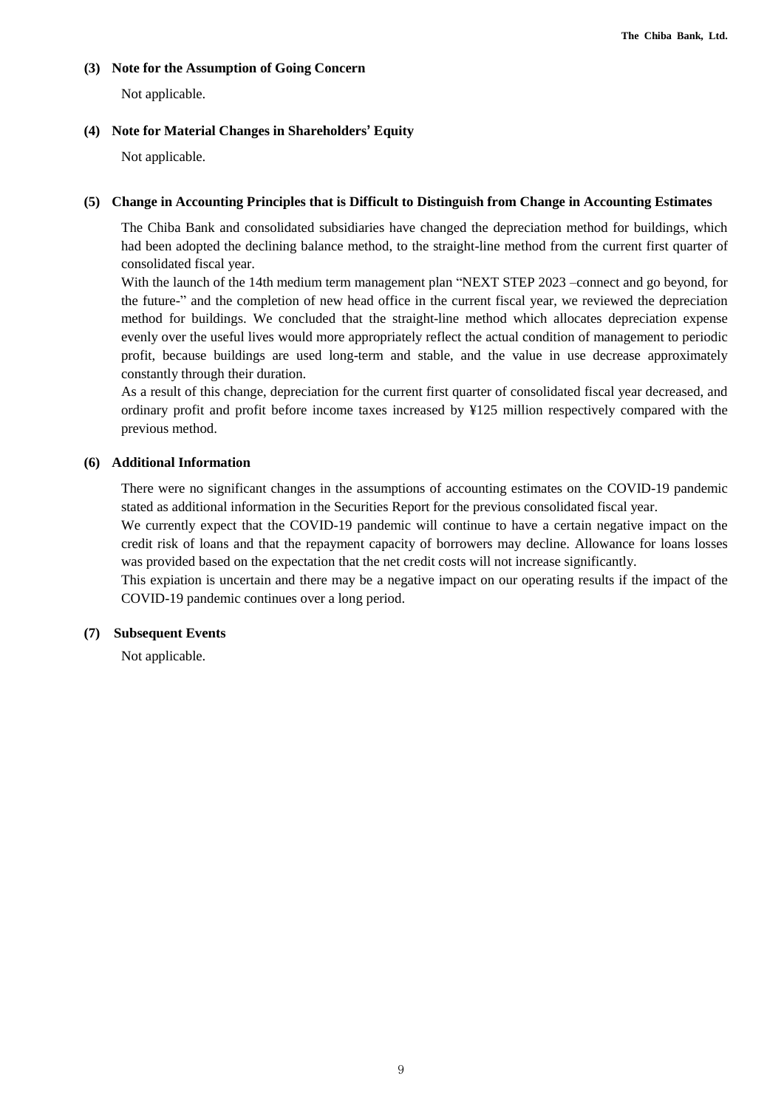#### **(3) Note for the Assumption of Going Concern**

Not applicable.

## <span id="page-8-0"></span>**(4) Note for Material Changes in Shareholders' Equity**

Not applicable.

## **(5) Change in Accounting Principles that is Difficult to Distinguish from Change in Accounting Estimates**

The Chiba Bank and consolidated subsidiaries have changed the depreciation method for buildings, which had been adopted the declining balance method, to the straight-line method from the current first quarter of consolidated fiscal year.

With the launch of the 14th medium term management plan "NEXT STEP 2023 –connect and go beyond, for the future-" and the completion of new head office in the current fiscal year, we reviewed the depreciation method for buildings. We concluded that the straight-line method which allocates depreciation expense evenly over the useful lives would more appropriately reflect the actual condition of management to periodic profit, because buildings are used long-term and stable, and the value in use decrease approximately constantly through their duration.

As a result of this change, depreciation for the current first quarter of consolidated fiscal year decreased, and ordinary profit and profit before income taxes increased by ¥125 million respectively compared with the previous method.

## **(6) Additional Information**

There were no significant changes in the assumptions of accounting estimates on the COVID-19 pandemic stated as additional information in the Securities Report for the previous consolidated fiscal year.

We currently expect that the COVID-19 pandemic will continue to have a certain negative impact on the credit risk of loans and that the repayment capacity of borrowers may decline. Allowance for loans losses was provided based on the expectation that the net credit costs will not increase significantly.

This expiation is uncertain and there may be a negative impact on our operating results if the impact of the COVID-19 pandemic continues over a long period.

## **(7) Subsequent Events**

Not applicable.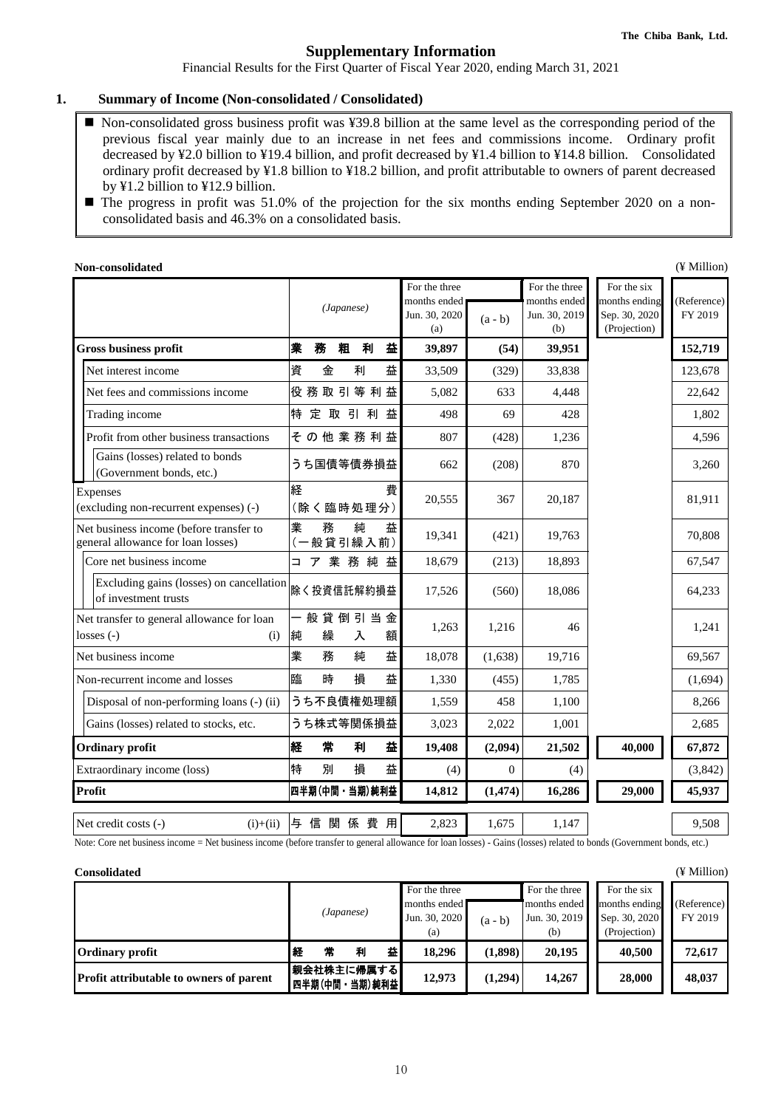# **Supplementary Information**

Financial Results for the First Quarter of Fiscal Year 2020, ending March 31, 2021

#### <span id="page-9-0"></span>**1. Summary of Income (Non-consolidated / Consolidated)**

- Non-consolidated gross business profit was ¥39.8 billion at the same level as the corresponding period of the previous fiscal year mainly due to an increase in net fees and commissions income. Ordinary profit decreased by ¥2.0 billion to ¥19.4 billion, and profit decreased by ¥1.4 billion to ¥14.8 billion. Consolidated ordinary profit decreased by ¥1.8 billion to ¥18.2 billion, and profit attributable to owners of parent decreased by ¥1.2 billion to ¥12.9 billion.
- The progress in profit was 51.0% of the projection for the six months ending September 2020 on a nonconsolidated basis and 46.3% on a consolidated basis.

| Non-consolidated                                                              |                               |                                                                    |                                                       |                                                               | (¥ Million)            |
|-------------------------------------------------------------------------------|-------------------------------|--------------------------------------------------------------------|-------------------------------------------------------|---------------------------------------------------------------|------------------------|
|                                                                               | (Japanese)                    | For the three<br>months ended<br>Jun. 30, 2020<br>$(a - b)$<br>(a) | For the three<br>months ended<br>Jun. 30, 2019<br>(b) | For the six<br>months ending<br>Sep. 30, 2020<br>(Projection) | (Reference)<br>FY 2019 |
| <b>Gross business profit</b>                                                  | 粗<br>利<br>益<br>菐<br>務         | 39,897<br>(54)                                                     | 39,951                                                |                                                               | 152,719                |
| Net interest income                                                           | 資<br>益<br>金<br>利              | 33,509<br>(329)                                                    | 33,838                                                |                                                               | 123,678                |
| Net fees and commissions income                                               | 役務取引等利益                       | 5,082<br>633                                                       | 4,448                                                 |                                                               | 22,642                 |
| Trading income                                                                | 特<br>定取引利<br>益                | 69<br>498                                                          | 428                                                   |                                                               | 1,802                  |
| Profit from other business transactions                                       | その他業務利益                       | 807<br>(428)                                                       | 1,236                                                 |                                                               | 4,596                  |
| Gains (losses) related to bonds<br>(Government bonds, etc.)                   | うち国債等債券損益                     | (208)<br>662                                                       | 870                                                   |                                                               | 3,260                  |
| Expenses<br>(excluding non-recurrent expenses) (-)                            | 経<br>費<br>(除く臨時処理分)           | 20,555<br>367                                                      | 20,187                                                |                                                               | 81,911                 |
| Net business income (before transfer to<br>general allowance for loan losses) | 業<br>純<br>務<br>益<br>(一般貸引繰入前) | 19,341<br>(421)                                                    | 19,763                                                |                                                               | 70,808                 |
| Core net business income                                                      | ア 業 務 純 益<br>$\Box$           | 18,679<br>(213)                                                    | 18,893                                                |                                                               | 67,547                 |
| Excluding gains (losses) on cancellation<br>of investment trusts              | 除く投資信託解約損益                    | 17,526<br>(560)                                                    | 18,086                                                |                                                               | 64,233                 |
| Net transfer to general allowance for loan<br>$losses(-)$<br>(i)              | 般貸倒引当金<br>繰<br>純<br>額<br>入    | 1,263<br>1,216                                                     | 46                                                    |                                                               | 1,241                  |
| Net business income                                                           | 業<br>益<br>務<br>純              | 18,078<br>(1,638)                                                  | 19,716                                                |                                                               | 69,567                 |
| Non-recurrent income and losses                                               | 臨<br>時<br>損<br>益              | 1,330<br>(455)                                                     | 1,785                                                 |                                                               | (1,694)                |
| Disposal of non-performing loans (-) (ii)                                     | うち不良債権処理額                     | 1,559<br>458                                                       | 1,100                                                 |                                                               | 8,266                  |
| Gains (losses) related to stocks, etc.                                        | うち株式等関係損益                     | 3,023<br>2,022                                                     | 1,001                                                 |                                                               | 2,685                  |
| <b>Ordinary profit</b>                                                        | 経<br>常<br>益<br>利              | 19,408<br>(2,094)                                                  | 21,502                                                | 40,000                                                        | 67,872                 |
| Extraordinary income (loss)                                                   | 特<br>益<br>別<br>損              | (4)<br>$\Omega$                                                    | (4)                                                   |                                                               | (3,842)                |
| Profit                                                                        | 四半期(中間・当期)純利益                 | 14,812<br>(1, 474)                                                 | 16,286                                                | 29,000                                                        | 45,937                 |
| Net credit costs (-)<br>$(i)+(ii)$                                            | 与信関係費用                        | 2,823<br>1,675                                                     | 1,147                                                 |                                                               | 9,508                  |

Note: Core net business income = Net business income (before transfer to general allowance for loan losses) - Gains (losses) related to bonds (Government bonds, etc.)

| <b>Consolidated</b>                            |   |                              |            |   |                                                       |           |                                                       |                                                               | (¥ Million)            |
|------------------------------------------------|---|------------------------------|------------|---|-------------------------------------------------------|-----------|-------------------------------------------------------|---------------------------------------------------------------|------------------------|
|                                                |   |                              | (Japanese) |   | For the three<br>months ended<br>Jun. 30, 2020<br>(a) | $(a - b)$ | For the three<br>months ended<br>Jun. 30, 2019<br>(b) | For the six<br>months ending<br>Sep. 30, 2020<br>(Projection) | (Reference)<br>FY 2019 |
| <b>Ordinary profit</b>                         | 経 | 常                            | 利          | 益 | 18.296                                                | (1,898)   | 20,195                                                | 40.500                                                        | 72,617                 |
| <b>Profit attributable to owners of parent</b> |   | 親会社株主に帰属する<br> 四半期(中間・当期)純利益 |            |   | 12,973                                                | (1,294)   | 14.267                                                | 28,000                                                        | 48,037                 |

10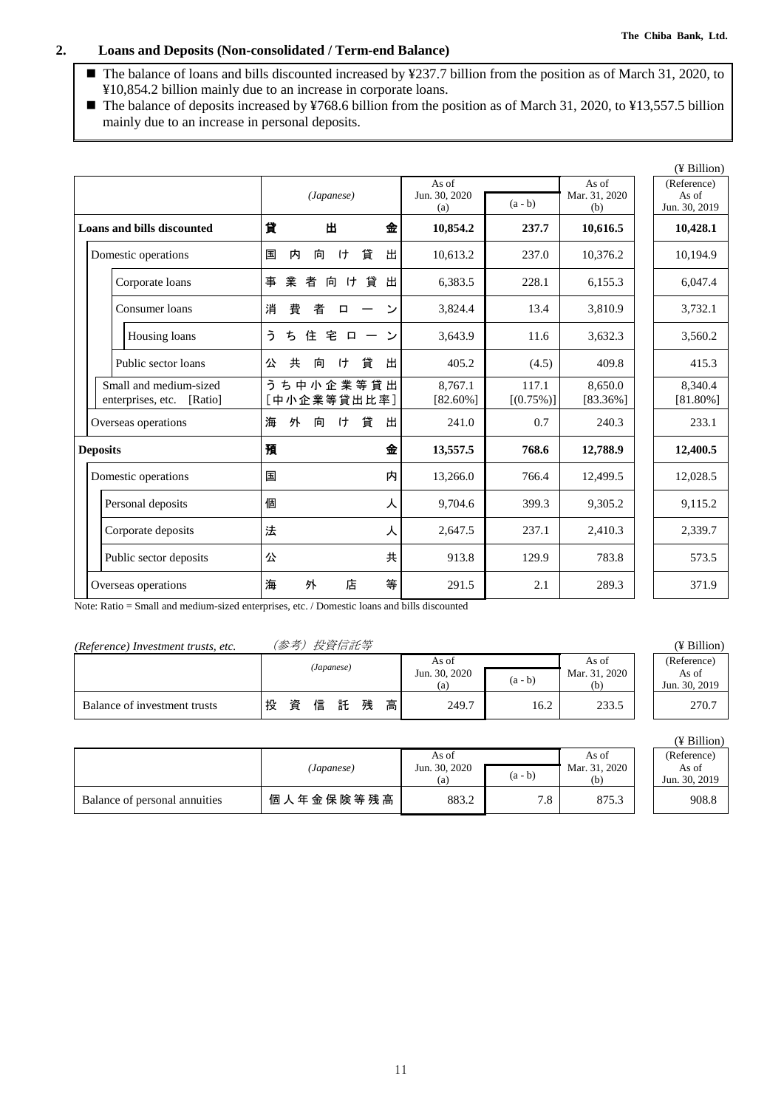# **2. Loans and Deposits (Non-consolidated / Term-end Balance)**

- The balance of loans and bills discounted increased by ¥237.7 billion from the position as of March 31, 2020, to ¥10,854.2 billion mainly due to an increase in corporate loans.
- The balance of deposits increased by ¥768.6 billion from the position as of March 31, 2020, to ¥13,557.5 billion mainly due to an increase in personal deposits.

|                                                        |                                              |                               |                       |                               | $($ ¥ Billion $)$                     |
|--------------------------------------------------------|----------------------------------------------|-------------------------------|-----------------------|-------------------------------|---------------------------------------|
|                                                        | (Japanese)                                   | As of<br>Jun. 30, 2020<br>(a) | $(a - b)$             | As of<br>Mar. 31, 2020<br>(b) | (Reference)<br>As of<br>Jun. 30, 2019 |
| <b>Loans and bills discounted</b>                      | 貸<br>出<br>金                                  | 10,854.2                      | 237.7                 | 10,616.5                      | 10,428.1                              |
| Domestic operations                                    | 貸<br>出<br>国<br>内<br>向<br>ゖ                   | 10,613.2                      | 237.0                 | 10,376.2                      | 10,194.9                              |
| Corporate loans                                        | 業<br>事<br>者<br>H<br>貸<br>出<br>向              | 6,383.5                       | 228.1                 | 6,155.3                       | 6,047.4                               |
| Consumer loans                                         | 費<br>消<br>者<br>رد<br>□                       | 3,824.4                       | 13.4                  | 3,810.9                       | 3,732.1                               |
| Housing loans                                          | ぅ<br>ち<br>住<br>宅<br>$\overline{ }$<br>$\Box$ | 3,643.9                       | 11.6                  | 3,632.3                       | 3,560.2                               |
| Public sector loans                                    | 共<br>貸<br>出<br>向<br>ゖ<br>公                   | 405.2                         | (4.5)                 | 409.8                         | 415.3                                 |
| Small and medium-sized<br>enterprises, etc.<br>[Ratio] | うち中小企業等貸出<br>[中小企業等貸出比率]                     | 8.767.1<br>$[82.60\%]$        | 117.1<br>$[(0.75\%)]$ | 8.650.0<br>[83.36%]           | 8.340.4<br>$[81.80\%]$                |
| Overseas operations                                    | 貸<br>出<br>海<br>外<br>ゖ<br>向                   | 241.0                         | 0.7                   | 240.3                         | 233.1                                 |
| <b>Deposits</b>                                        | 預<br>金                                       | 13,557.5                      | 768.6                 | 12,788.9                      | 12,400.5                              |
| Domestic operations                                    | 国<br>内                                       | 13,266.0                      | 766.4                 | 12,499.5                      | 12,028.5                              |
| Personal deposits                                      | 個<br>人                                       | 9,704.6                       | 399.3                 | 9,305.2                       | 9,115.2                               |
| Corporate deposits                                     | 法<br>人                                       | 2,647.5                       | 237.1                 | 2,410.3                       | 2,339.7                               |
| Public sector deposits                                 | 共<br>公                                       | 913.8                         | 129.9                 | 783.8                         | 573.5                                 |
| Overseas operations                                    | 店<br>等<br>海<br>外                             | 291.5                         | 2.1                   | 289.3                         | 371.9                                 |

Note: Ratio = Small and medium-sized enterprises, etc. / Domestic loans and bills discounted

# *(Reference) Investment trusts, etc.* (参考)投資信託等 (¥ Billion)

|                              |   | (Japanese) |   |   |   | As of |               | As of     | (Reference)   |               |
|------------------------------|---|------------|---|---|---|-------|---------------|-----------|---------------|---------------|
|                              |   |            |   |   |   |       | Jun. 30, 2020 | $(a - b)$ | Mar. 31, 2020 | As of         |
|                              |   |            |   |   |   |       | (a)           |           | (h`           | Jun. 30, 2019 |
| Balance of investment trusts | 投 | 資          | 信 | 託 | 残 | 高     | 249.7         | 16.2      | 233.5         | 270.7         |

|                               | (Japanese) | As of<br>Jun. 30, 2020<br>(a) | $(a - b)$ | As of<br>Mar. 31, 2020<br>(b) | (Reference)<br>As of<br>Jun. 30, 2019 |
|-------------------------------|------------|-------------------------------|-----------|-------------------------------|---------------------------------------|
| Balance of personal annuities | 個人年金保険等残高  | 883.2                         | 7.8       | 875.3                         | 908.8                                 |

| (Reference)   |
|---------------|
| As of         |
| Jun. 30, 2019 |
| 270.7         |

|  | Billion |
|--|---------|
|  |         |

| (Reference)   |
|---------------|
| As of         |
| Jun. 30, 2019 |
| 908 R         |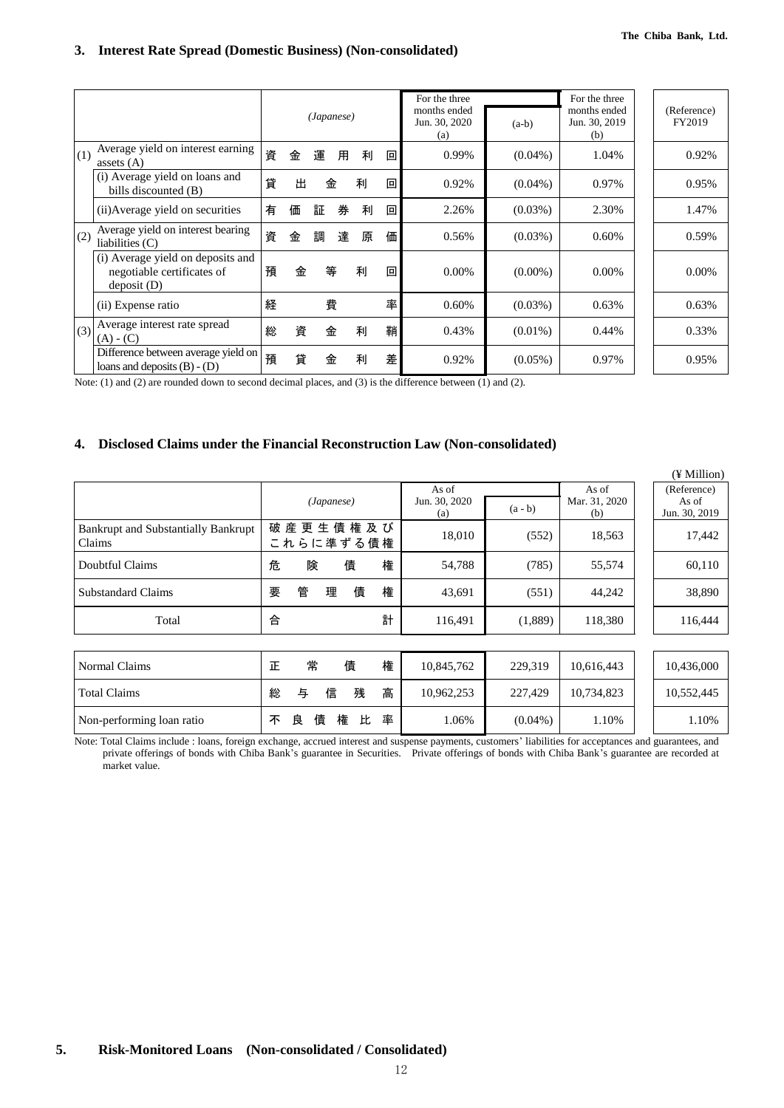# **3. Interest Rate Spread (Domestic Business) (Non-consolidated)**

|     |                                                                                |   |   | (Japanese) |   |   |   | For the three<br>months ended<br>Jun. 30, 2020<br>(a) | $(a-b)$    | For the three<br>months ended<br>Jun. 30, 2019<br>(b) | (Reference)<br>FY2019 |
|-----|--------------------------------------------------------------------------------|---|---|------------|---|---|---|-------------------------------------------------------|------------|-------------------------------------------------------|-----------------------|
| (1) | Average yield on interest earning<br>assets $(A)$                              | 資 | 金 | 運          | 用 | 利 | 回 | 0.99%                                                 | $(0.04\%)$ | 1.04%                                                 | 0.92%                 |
|     | (i) Average yield on loans and<br>bills discounted (B)                         | 貸 | 出 |            | 金 | 利 | 回 | 0.92%                                                 | $(0.04\%)$ | 0.97%                                                 | 0.95%                 |
|     | (ii) Average yield on securities                                               | 有 | 価 | 証          | 券 | 利 | 回 | 2.26%                                                 | $(0.03\%)$ | 2.30%                                                 | 1.47%                 |
| (2) | Average yield on interest bearing<br>liabilities $(C)$                         | 資 | 金 | 調          | 達 | 原 | 価 | 0.56%                                                 | $(0.03\%)$ | 0.60%                                                 | 0.59%                 |
|     | (i) Average yield on deposits and<br>negotiable certificates of<br>deposit (D) | 預 | 金 |            | 等 | 利 | 回 | 0.00%                                                 | $(0.00\%)$ | $0.00\%$                                              | 0.00%                 |
|     | (ii) Expense ratio                                                             | 経 |   |            | 費 |   | 率 | 0.60%                                                 | $(0.03\%)$ | 0.63%                                                 | 0.63%                 |
| (3) | Average interest rate spread<br>$(A) - (C)$                                    | 総 | 資 |            | 金 | 利 | 鞘 | 0.43%                                                 | $(0.01\%)$ | 0.44%                                                 | 0.33%                 |
|     | Difference between average yield on<br>loans and deposits $(B) - (D)$          | 預 | 貸 |            | 金 | 利 | 差 | 0.92%                                                 | $(0.05\%)$ | 0.97%                                                 | 0.95%                 |

Note: (1) and (2) are rounded down to second decimal places, and (3) is the difference between (1) and (2).

## **4. Disclosed Claims under the Financial Reconstruction Law (Non-consolidated)**

|                                                      |                            |                                            |                               | (¥ Million)                           |
|------------------------------------------------------|----------------------------|--------------------------------------------|-------------------------------|---------------------------------------|
|                                                      | (Japanese)                 | As of<br>Jun. 30, 2020<br>$(a - b)$<br>(a) | As of<br>Mar. 31, 2020<br>(b) | (Reference)<br>As of<br>Jun. 30, 2019 |
| <b>Bankrupt and Substantially Bankrupt</b><br>Claims | 破産更生債権及び<br>これらに準ずる債権      | 18,010<br>(552)                            | 18,563                        | 17,442                                |
| Doubtful Claims                                      | 債<br>権<br>危<br>険           | 54,788<br>(785)                            | 55,574                        | 60,110                                |
| Substandard Claims                                   | 管<br>権<br>債<br>要<br>理      | 43,691<br>(551)                            | 44,242                        | 38,890                                |
| Total                                                | 計<br>合                     | 116,491<br>(1,889)                         | 118,380                       | 116,444                               |
|                                                      |                            |                                            |                               |                                       |
| Normal Claims                                        | 権<br>常<br>債<br>正           | 229.319<br>10,845,762                      | 10.616.443                    | 10,436,000                            |
| Total Claims                                         | 高<br>信<br>残<br>与<br>総      | 10,962,253<br>227,429                      | 10,734,823                    | 10,552,445                            |
| Non-performing loan ratio                            | 率<br>債<br>権<br>比<br>良<br>不 | 1.06%<br>$(0.04\%)$                        | 1.10%                         | 1.10%                                 |

Note: Total Claims include : loans, foreign exchange, accrued interest and suspense payments, customers' liabilities for acceptances and guarantees, and private offerings of bonds with Chiba Bank's guarantee in Securities. Private offerings of bonds with Chiba Bank's guarantee are recorded at market value.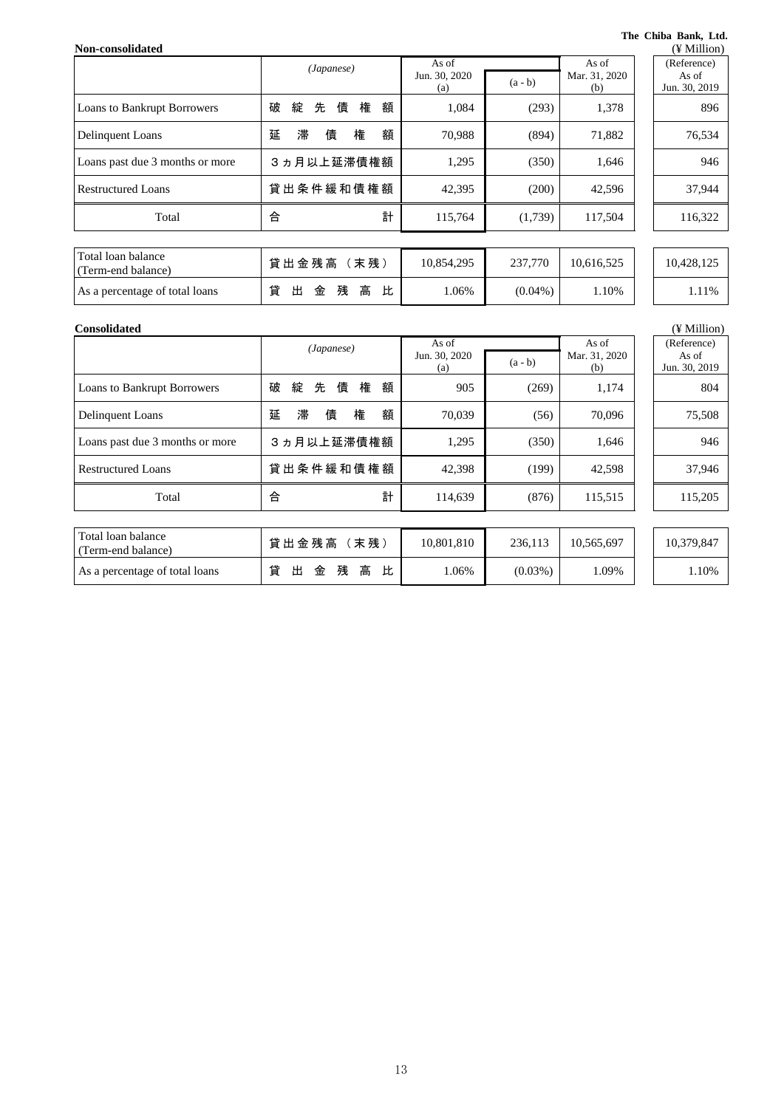#### **The Chiba Bank, Ltd.**

| Non-consolidated                         |                            |                      |            |                      | (¥ Million)            |
|------------------------------------------|----------------------------|----------------------|------------|----------------------|------------------------|
|                                          | (Japanese)                 | As of                |            | As of                | (Reference)            |
|                                          |                            | Jun. 30, 2020<br>(a) | $(a - b)$  | Mar. 31, 2020<br>(b) | As of<br>Jun. 30, 2019 |
| Loans to Bankrupt Borrowers              | 権<br>先<br>債<br>額<br>破<br>綻 | 1,084                | (293)      | 1,378                | 896                    |
| Delinquent Loans                         | 滞<br>額<br>権<br>延<br>債      | 70,988               | (894)      | 71,882               | 76,534                 |
| Loans past due 3 months or more          | 3ヵ月以上延滞債権額                 | 1,295                | (350)      | 1,646                | 946                    |
| <b>Restructured Loans</b>                | 貸出条件緩和債権額                  | 42,395               | (200)      | 42,596               | 37,944                 |
| Total                                    | 計<br>合                     | 115,764              | (1,739)    | 117,504              | 116,322                |
|                                          |                            |                      |            |                      |                        |
| Total loan balance<br>(Term-end balance) | 貸出金残高 (末残)                 | 10,854,295           | 237,770    | 10,616,525           | 10,428,125             |
| As a percentage of total loans           | 貸<br>高<br>比<br>出<br>金<br>残 | 1.06%                | $(0.04\%)$ | 1.10%                | 1.11%                  |

| <b>Consolidated</b>                      |                            |                        |            |                        |  | $(\frac{1}{2}$ Million |
|------------------------------------------|----------------------------|------------------------|------------|------------------------|--|------------------------|
|                                          | (Japanese)                 | As of<br>Jun. 30, 2020 | $(a - b)$  | As of<br>Mar. 31, 2020 |  | (Reference)<br>As of   |
|                                          |                            | (a)                    |            | (b)                    |  | Jun. 30, 2019          |
| <b>Loans to Bankrupt Borrowers</b>       | 権<br>破<br>綻<br>先<br>債<br>額 | 905                    | (269)      | 1,174                  |  | 804                    |
| Delinquent Loans                         | 滞<br>債<br>額<br>延<br>権      | 70,039                 | (56)       | 70,096                 |  | 75,508                 |
| Loans past due 3 months or more          | 3 ヵ月以上延滞債権額                | 1,295                  | (350)      | 1,646                  |  | 946                    |
| <b>Restructured Loans</b>                | 貸出条件緩和債権額                  | 42,398                 | (199)      | 42,598                 |  | 37,946                 |
| Total                                    | 計<br>合                     | 114,639                | (876)      | 115,515                |  | 115,205                |
|                                          |                            |                        |            |                        |  |                        |
| Total loan balance<br>(Term-end balance) | 貸出金残高 (末残)                 | 10,801,810             | 236.113    | 10,565,697             |  | 10,379,847             |
| As a percentage of total loans           | 貸<br>高<br>残<br>出<br>金<br>比 | 1.06%                  | $(0.03\%)$ | 1.09%                  |  | 1.10%                  |